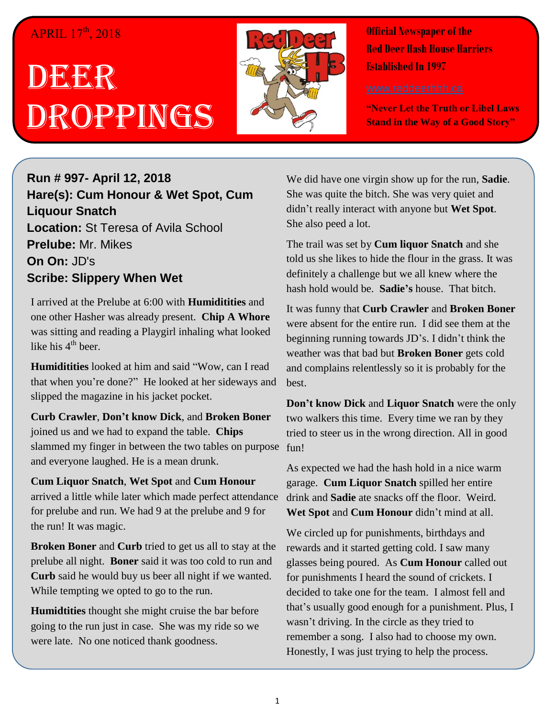### APRIL 17<sup>th</sup>, 2018

# DEGEGR Droppings



**Official Newspaper of the Red Deer Hash House Harriers Established In 1997** 

**"Never Let the Truth or Libel Laws Stand in the Way of a Good Story"**

#### **Run # 997- April 12, 2018 Hare(s): Cum Honour & Wet Spot, Cum Liquour Snatch Location:** St Teresa of Avila School **Prelube:** Mr. Mikes **On On:** JD's **Scribe: Slippery When Wet**

I arrived at the Prelube at 6:00 with **Humiditities** and one other Hasher was already present. **Chip A Whore** was sitting and reading a Playgirl inhaling what looked like his  $4<sup>th</sup>$  beer.

**Humiditities** looked at him and said "Wow, can I read that when you're done?" He looked at her sideways and slipped the magazine in his jacket pocket.

**Curb Crawler**, **Don't know Dick**, and **Broken Boner** joined us and we had to expand the table. **Chips** slammed my finger in between the two tables on purpose fun! and everyone laughed. He is a mean drunk.

**Cum Liquor Snatch**, **Wet Spot** and **Cum Honour** arrived a little while later which made perfect attendance for prelube and run. We had 9 at the prelube and 9 for the run! It was magic.

**Broken Boner** and **Curb** tried to get us all to stay at the prelube all night. **Boner** said it was too cold to run and **Curb** said he would buy us beer all night if we wanted. While tempting we opted to go to the run.

**Humidtities** thought she might cruise the bar before going to the run just in case. She was my ride so we were late. No one noticed thank goodness.

We did have one virgin show up for the run, **Sadie**. She was quite the bitch. She was very quiet and didn't really interact with anyone but **Wet Spot**. She also peed a lot.

The trail was set by **Cum liquor Snatch** and she told us she likes to hide the flour in the grass. It was definitely a challenge but we all knew where the hash hold would be. **Sadie's** house. That bitch.

It was funny that **Curb Crawler** and **Broken Boner** were absent for the entire run. I did see them at the beginning running towards JD's. I didn't think the weather was that bad but **Broken Boner** gets cold and complains relentlessly so it is probably for the best.

**Don't know Dick** and **Liquor Snatch** were the only two walkers this time. Every time we ran by they tried to steer us in the wrong direction. All in good

As expected we had the hash hold in a nice warm garage. **Cum Liquor Snatch** spilled her entire drink and **Sadie** ate snacks off the floor. Weird. **Wet Spot** and **Cum Honour** didn't mind at all.

We circled up for punishments, birthdays and rewards and it started getting cold. I saw many glasses being poured. As **Cum Honour** called out for punishments I heard the sound of crickets. I decided to take one for the team. I almost fell and that's usually good enough for a punishment. Plus, I wasn't driving. In the circle as they tried to remember a song. I also had to choose my own. Honestly, I was just trying to help the process.